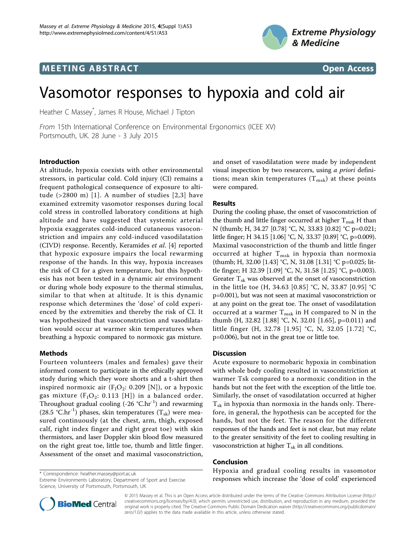

## **MEETING ABSTRACT And CONSTRACT CONSTRACT** And CONSTRACT CONSTRACT CONSTRACT CONSTRACT CONSTRACT CONSTRACT CONSTR



# Vasomotor responses to hypoxia and cold air

Heather C Massey\* , James R House, Michael J Tipton

From 15th International Conference on Environmental Ergonomics (ICEE XV) Portsmouth, UK. 28 June - 3 July 2015

## Introduction

At altitude, hypoxia coexists with other environmental stressors, in particular cold. Cold injury (CI) remains a frequent pathological consequence of exposure to altitude (>2800 m) [[1\]](#page-1-0). A number of studies [[2](#page-1-0),[3](#page-1-0)] have examined extremity vasomotor responses during local cold stress in controlled laboratory conditions at high altitude and have suggested that systemic arterial hypoxia exaggerates cold-induced cutaneous vasoconstriction and impairs any cold-induced vasodilatation (CIVD) response. Recently, Keramides et al. [\[4](#page-1-0)] reported that hypoxic exposure impairs the local rewarming response of the hands. In this way, hypoxia increases the risk of CI for a given temperature, but this hypothesis has not been tested in a dynamic air environment or during whole body exposure to the thermal stimulus, similar to that when at altitude. It is this dynamic response which determines the 'dose' of cold experienced by the extremities and thereby the risk of CI. It was hypothesized that vasoconstriction and vasodilatation would occur at warmer skin temperatures when breathing a hypoxic compared to normoxic gas mixture.

## Methods

Fourteen volunteers (males and females) gave their informed consent to participate in the ethically approved study during which they wore shorts and a t-shirt then inspired normoxic air  $(F_1O_2: 0.209 \text{ [N]})$ , or a hypoxic gas mixture ( $F_1O_2$ : 0.113 [H]) in a balanced order. Throughout gradual cooling  $(-26 \text{ °C} \cdot \text{hr}^{-1})$  and rewarming (28.5 °C.hr<sup>-1</sup>) phases, skin temperatures (T<sub>sk</sub>) were measured continuously (at the chest, arm, thigh, exposed calf, right index finger and right great toe) with skin thermistors, and laser Doppler skin blood flow measured on the right great toe, little toe, thumb and little finger. Assessment of the onset and maximal vasoconstriction,

Extreme Environments Laboratory, Department of Sport and Exercise Science, University of Portsmouth, Portsmouth, UK



## Results

During the cooling phase, the onset of vasoconstriction of the thumb and little finger occurred at higher  $T_{msk}$  H than N (thumb; H, 34.27 [0.78] °C, N, 33.83 [0.82] °C p=0.021; little finger; H 34.15 [1.06] °C, N, 33.37 [0.89] °C, p=0.009). Maximal vasoconstriction of the thumb and little finger occurred at higher  $T_{msk}$  in hypoxia than normoxia (thumb; H, 32.00 [1.43] °C, N, 31.08 [1.31] °C p=0.025; little finger; H 32.39 [1.09] °C, N, 31.58 [1.25] °C, p=0.003). Greater  $T_{sk}$  was observed at the onset of vasoconstriction in the little toe (H, 34.63 [0.85] °C, N, 33.87 [0.95] °C p=0.001), but was not seen at maximal vasoconstriction or at any point on the great toe. The onset of vasodilatation occurred at a warmer  $T_{msk}$  in H compared to N in the thumb (H, 32.82 [1.88] °C, N, 32.01 [1.65], p=0.011) and little finger (H, 32.78 [1.95] °C, N, 32.05 [1.72] °C, p=0.006), but not in the great toe or little toe.

#### Discussion

Acute exposure to normobaric hypoxia in combination with whole body cooling resulted in vasoconstriction at warmer Tsk compared to a normoxic condition in the hands but not the feet with the exception of the little toe. Similarly, the onset of vasodilatation occurred at higher  $T_{sk}$  in hypoxia than normoxia in the hands only. Therefore, in general, the hypothesis can be accepted for the hands, but not the feet. The reason for the different responses of the hands and feet is not clear, but may relate to the greater sensitivity of the feet to cooling resulting in vasoconstriction at higher  $T_{sk}$  in all conditions.

## Conclusion

Hypoxia and gradual cooling results in vasomotor \* Correspondence: [heather.massey@port.ac.uk](mailto:heather.massey@port.ac.uk)<br>Extreme Environments Laboratory, Department of Sport and Exercise **\* Corresponses which increase the 'dose of cold' experienced** 



© 2015 Massey et al. This is an Open Access article distributed under the terms of the Creative Commons Attribution License [\(http://](http://creativecommons.org/licenses/by/4.0) [creativecommons.org/licenses/by/4.0](http://creativecommons.org/licenses/by/4.0)), which permits unrestricted use, distribution, and reproduction in any medium, provided the original work is properly cited. The Creative Commons Public Domain Dedication waiver ([http://creativecommons.org/publicdomain/](http://creativecommons.org/publicdomain/zero/1.0/) [zero/1.0/](http://creativecommons.org/publicdomain/zero/1.0/)) applies to the data made available in this article, unless otherwise stated.